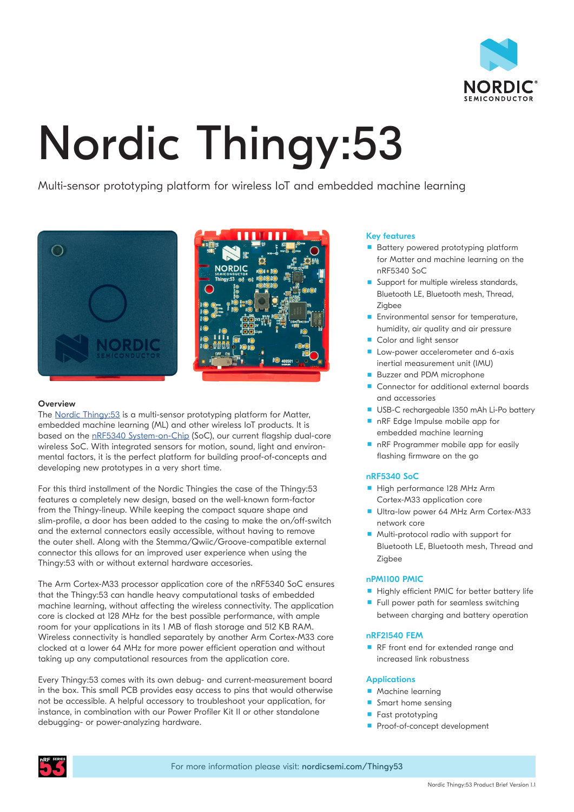

# Nordic Thingy:53

Multi-sensor prototyping platform for wireless IoT and embedded machine learning





# **Overview**

The [Nordic Thingy:53](http://www.nordicsemi.com/thingy53) is a multi-sensor prototyping platform for Matter, embedded machine learning (ML) and other wireless IoT products. It is based on the [nRF5340 System-on-Chip](http://www.nordicsemi.com/nrf5340) (SoC), our current flagship dual-core wireless SoC. With integrated sensors for motion, sound, light and environmental factors, it is the perfect platform for building proof-of-concepts and developing new prototypes in a very short time.

For this third installment of the Nordic Thingies the case of the Thingy:53 features a completely new design, based on the well-known form-factor from the Thingy-lineup. While keeping the compact square shape and slim-profile, a door has been added to the casing to make the on/off-switch and the external connectors easily accessible, without having to remove the outer shell. Along with the Stemma/Qwiic/Groove-compatible external connector this allows for an improved user experience when using the Thingy:53 with or without external hardware accesories.

The Arm Cortex-M33 processor application core of the nRF5340 SoC ensures that the Thingy:53 can handle heavy computational tasks of embedded machine learning, without affecting the wireless connectivity. The application core is clocked at 128 MHz for the best possible performance, with ample room for your applications in its 1 MB of flash storage and 512 KB RAM. Wireless connectivity is handled separately by another Arm Cortex-M33 core clocked at a lower 64 MHz for more power efficient operation and without taking up any computational resources from the application core.

Every Thingy:53 comes with its own debug- and current-measurement board in the box. This small PCB provides easy access to pins that would otherwise not be accessible. A helpful accessory to troubleshoot your application, for instance, in combination with our Power Profiler Kit II or other standalone debugging- or power-analyzing hardware.

# Key features

- Battery powered prototyping platform for Matter and machine learning on the nRF5340 SoC
- Support for multiple wireless standards, Bluetooth LE, Bluetooth mesh, Thread, Zigbee
- **Environmental sensor for temperature.** humidity, air quality and air pressure
- Color and light sensor
- Low-power accelerometer and 6-axis inertial measurement unit (IMU)
- **Buzzer and PDM microphone**
- Connector for additional external boards and accessories
- USB-C rechargeable 1350 mAh Li-Po battery ■ nRF Edge Impulse mobile app for
- embedded machine learning
- nRF Programmer mobile app for easily flashing firmware on the go

# nRF5340 SoC

- High performance 128 MHz Arm Cortex-M33 application core
- Ultra-low power 64 MHz Arm Cortex-M33 network core
- **Multi-protocol radio with support for** Bluetooth LE, Bluetooth mesh, Thread and Zigbee

# nPM1100 PMIC

- Highly efficient PMIC for better battery life
- Full power path for seamless switching between charging and battery operation

# nRF21540 FEM

**RF** front end for extended range and increased link robustness

# **Applications**

- **Machine learning**
- **Smart home sensing**
- Fast prototyping
- Proof-of-concept development